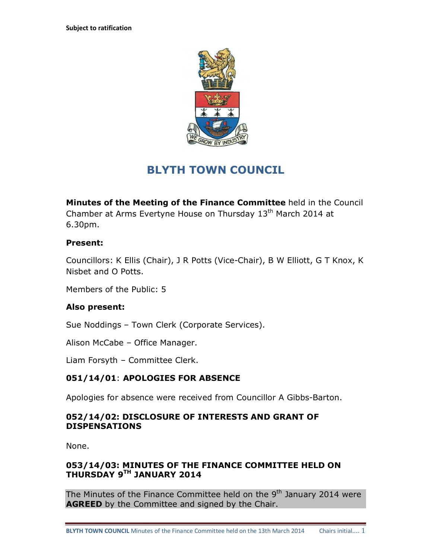

# **BLYTH TOWN COUNCIL**

**Minutes of the Meeting of the Finance Committee** held in the Council Chamber at Arms Evertyne House on Thursday  $13<sup>th</sup>$  March 2014 at 6.30pm.

# **Present:**

Councillors: K Ellis (Chair), J R Potts (Vice-Chair), B W Elliott, G T Knox, K Nisbet and O Potts.

Members of the Public: 5

# **Also present:**

Sue Noddings – Town Clerk (Corporate Services).

Alison McCabe – Office Manager.

Liam Forsyth – Committee Clerk.

# **051/14/01**: **APOLOGIES FOR ABSENCE**

Apologies for absence were received from Councillor A Gibbs-Barton.

#### **052/14/02: DISCLOSURE OF INTERESTS AND GRANT OF DISPENSATIONS**

None.

# **053/14/03: MINUTES OF THE FINANCE COMMITTEE HELD ON THURSDAY 9TH JANUARY 2014**

The Minutes of the Finance Committee held on the  $9<sup>th</sup>$  January 2014 were **AGREED** by the Committee and signed by the Chair.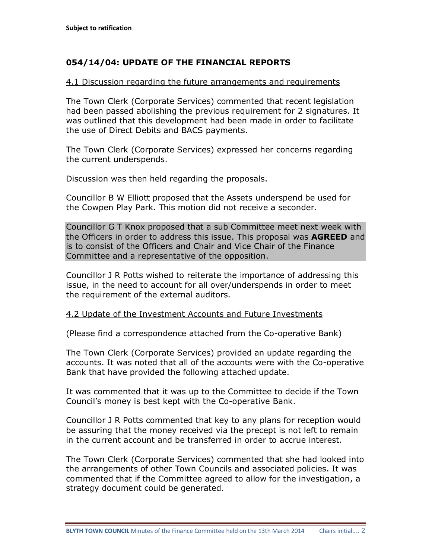# **054/14/04: UPDATE OF THE FINANCIAL REPORTS**

#### 4.1 Discussion regarding the future arrangements and requirements

The Town Clerk (Corporate Services) commented that recent legislation had been passed abolishing the previous requirement for 2 signatures. It was outlined that this development had been made in order to facilitate the use of Direct Debits and BACS payments.

The Town Clerk (Corporate Services) expressed her concerns regarding the current underspends.

Discussion was then held regarding the proposals.

Councillor B W Elliott proposed that the Assets underspend be used for the Cowpen Play Park. This motion did not receive a seconder.

Councillor G T Knox proposed that a sub Committee meet next week with the Officers in order to address this issue. This proposal was **AGREED** and is to consist of the Officers and Chair and Vice Chair of the Finance Committee and a representative of the opposition.

Councillor J R Potts wished to reiterate the importance of addressing this issue, in the need to account for all over/underspends in order to meet the requirement of the external auditors.

#### 4.2 Update of the Investment Accounts and Future Investments

(Please find a correspondence attached from the Co-operative Bank)

The Town Clerk (Corporate Services) provided an update regarding the accounts. It was noted that all of the accounts were with the Co-operative Bank that have provided the following attached update.

It was commented that it was up to the Committee to decide if the Town Council's money is best kept with the Co-operative Bank.

Councillor J R Potts commented that key to any plans for reception would be assuring that the money received via the precept is not left to remain in the current account and be transferred in order to accrue interest.

The Town Clerk (Corporate Services) commented that she had looked into the arrangements of other Town Councils and associated policies. It was commented that if the Committee agreed to allow for the investigation, a strategy document could be generated.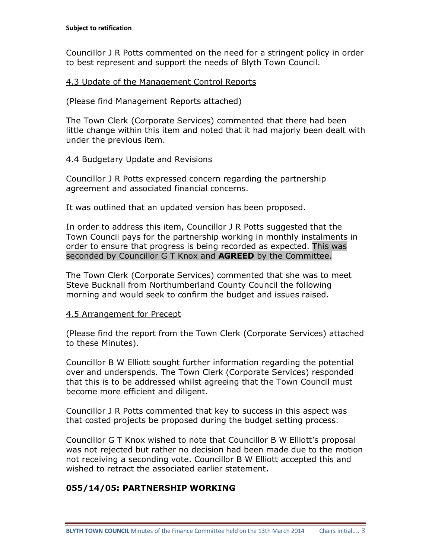Councillor J R Potts commented on the need for a stringent policy in order to best represent and support the needs of Blyth Town Council.

#### 4.3 Update of the Management Control Reports

(Please find Management Reports attached)

The Town Clerk (Corporate Services) commented that there had been little change within this item and noted that it had majorly been dealt with under the previous item.

#### 4.4 Budgetary Update and Revisions

Councillor J R Potts expressed concern regarding the partnership agreement and associated financial concerns.

It was outlined that an updated version has been proposed.

In order to address this item, Councillor J R Potts suggested that the Town Council pays for the partnership working in monthly instalments in order to ensure that progress is being recorded as expected. This was seconded by Councillor G T Knox and **AGREED** by the Committee.

The Town Clerk (Corporate Services) commented that she was to meet Steve Bucknall from Northumberland County Council the following morning and would seek to confirm the budget and issues raised.

#### 4.5 Arrangement for Precept

(Please find the report from the Town Clerk (Corporate Services) attached to these Minutes).

Councillor B W Elliott sought further information regarding the potential over and underspends. The Town Clerk (Corporate Services) responded that this is to be addressed whilst agreeing that the Town Council must become more efficient and diligent.

Councillor J R Potts commented that key to success in this aspect was that costed projects be proposed during the budget setting process.

Councillor G T Knox wished to note that Councillor B W Elliott's proposal was not rejected but rather no decision had been made due to the motion not receiving a seconding vote. Councillor B W Elliott accepted this and wished to retract the associated earlier statement.

# **055/14/05: PARTNERSHIP WORKING**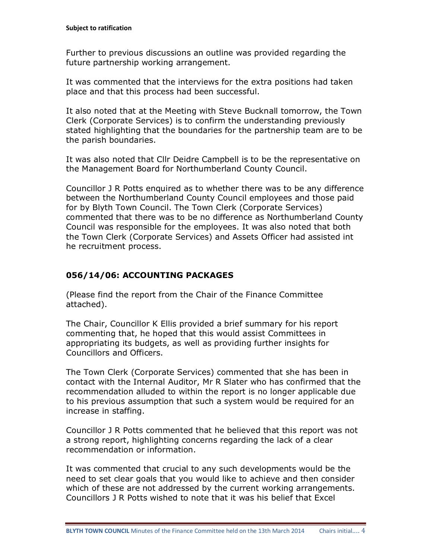Further to previous discussions an outline was provided regarding the future partnership working arrangement.

It was commented that the interviews for the extra positions had taken place and that this process had been successful.

It also noted that at the Meeting with Steve Bucknall tomorrow, the Town Clerk (Corporate Services) is to confirm the understanding previously stated highlighting that the boundaries for the partnership team are to be the parish boundaries.

It was also noted that Cllr Deidre Campbell is to be the representative on the Management Board for Northumberland County Council.

Councillor J R Potts enquired as to whether there was to be any difference between the Northumberland County Council employees and those paid for by Blyth Town Council. The Town Clerk (Corporate Services) commented that there was to be no difference as Northumberland County Council was responsible for the employees. It was also noted that both the Town Clerk (Corporate Services) and Assets Officer had assisted int he recruitment process.

# **056/14/06: ACCOUNTING PACKAGES**

(Please find the report from the Chair of the Finance Committee attached).

The Chair, Councillor K Ellis provided a brief summary for his report commenting that, he hoped that this would assist Committees in appropriating its budgets, as well as providing further insights for Councillors and Officers.

The Town Clerk (Corporate Services) commented that she has been in contact with the Internal Auditor, Mr R Slater who has confirmed that the recommendation alluded to within the report is no longer applicable due to his previous assumption that such a system would be required for an increase in staffing.

Councillor J R Potts commented that he believed that this report was not a strong report, highlighting concerns regarding the lack of a clear recommendation or information.

It was commented that crucial to any such developments would be the need to set clear goals that you would like to achieve and then consider which of these are not addressed by the current working arrangements. Councillors J R Potts wished to note that it was his belief that Excel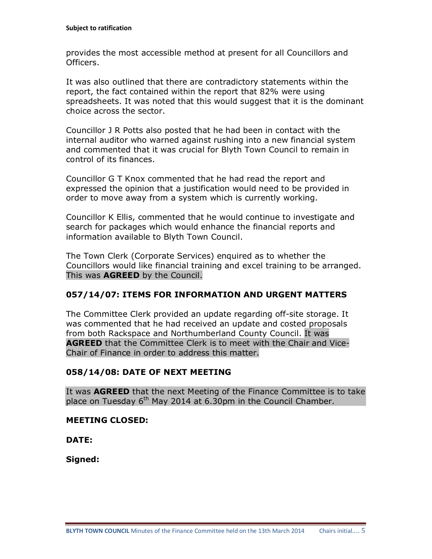provides the most accessible method at present for all Councillors and Officers.

It was also outlined that there are contradictory statements within the report, the fact contained within the report that 82% were using spreadsheets. It was noted that this would suggest that it is the dominant choice across the sector.

Councillor J R Potts also posted that he had been in contact with the internal auditor who warned against rushing into a new financial system and commented that it was crucial for Blyth Town Council to remain in control of its finances.

Councillor G T Knox commented that he had read the report and expressed the opinion that a justification would need to be provided in order to move away from a system which is currently working.

Councillor K Ellis, commented that he would continue to investigate and search for packages which would enhance the financial reports and information available to Blyth Town Council.

The Town Clerk (Corporate Services) enquired as to whether the Councillors would like financial training and excel training to be arranged. This was **AGREED** by the Council.

# **057/14/07: ITEMS FOR INFORMATION AND URGENT MATTERS**

The Committee Clerk provided an update regarding off-site storage. It was commented that he had received an update and costed proposals from both Rackspace and Northumberland County Council. It was **AGREED** that the Committee Clerk is to meet with the Chair and Vice-Chair of Finance in order to address this matter.

# **058/14/08: DATE OF NEXT MEETING**

It was **AGREED** that the next Meeting of the Finance Committee is to take place on Tuesday  $6<sup>th</sup>$  May 2014 at 6.30pm in the Council Chamber.

#### **MEETING CLOSED:**

**DATE:**

**Signed:**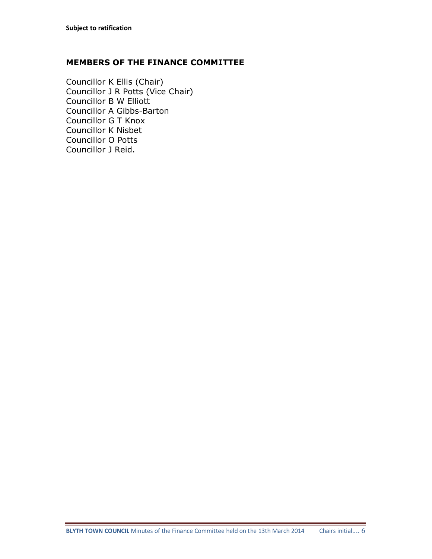#### **MEMBERS OF THE FINANCE COMMITTEE**

Councillor K Ellis (Chair) Councillor J R Potts (Vice Chair) Councillor B W Elliott Councillor A Gibbs-Barton Councillor G T Knox Councillor K Nisbet Councillor O Potts Councillor J Reid.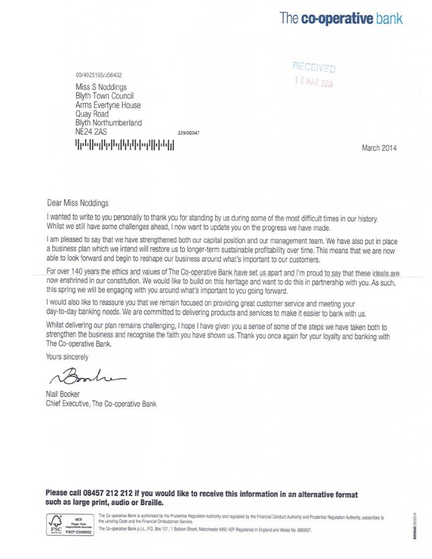# The co-operative bank

RECEIVED 10 MAR 2014

05/4025195/J56432

Miss S Noddings Blyth Town Council Arms Evertyne House Quay Road Blyth Northumberland **NE24 2AS** 329/00047 կինիրիկերիկերիկների

March 2014

#### Dear Miss Noddings

I wanted to write to you personally to thank you for standing by us during some of the most difficult times in our history. Whilst we still have some challenges ahead, I now want to update you on the progress we have made.

I am pleased to say that we have strengthened both our capital position and our management team. We have also put in place a business plan which we intend will restore us to longer-term sustainable profitability over time. This means that we are now able to look forward and begin to reshape our business around what's important to our customers.

For over 140 years the ethics and values of The Co-operative Bank have set us apart and I'm proud to say that these ideals are now enshrined in our constitution. We would like to build on this heritage and want to do this in partnership with you. As such, this spring we will be engaging with you around what's important to you going forward.

I would also like to reassure you that we remain focused on providing great customer service and meeting your day-to-day banking needs. We are committed to delivering products and services to make it easier to bank with us.

Whilst delivering our plan remains challenging, I hope I have given you a sense of some of the steps we have taken both to strengthen the business and recognise the faith you have shown us. Thank you once again for your loyalty and banking with The Co-operative Bank.

Yours sincerely

Niall Booker Chief Executive, The Co-operative Bank

#### Please call 08457 212 212 if you would like to receive this information in an alternative format such as large print, audio or Braille.



The Co-operative Bank is authorised by the Prudential Regulation Authority and regulated by the Financial Conduct Authority and Prudential Regulation Authority, subscribes to the Lending Code and the Financial Ombudsman Service.

The Co-operative Bank p.l.c., P.O. Box 101, 1 Balloon Street, Manchester M60 4EP. Registered in England and Wales No. 990937.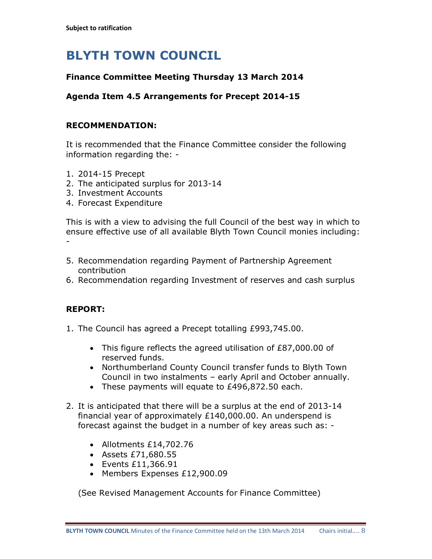# **BLYTH TOWN COUNCIL**

# **Finance Committee Meeting Thursday 13 March 2014**

### **Agenda Item 4.5 Arrangements for Precept 2014-15**

#### **RECOMMENDATION:**

It is recommended that the Finance Committee consider the following information regarding the: -

- 1. 2014-15 Precept
- 2. The anticipated surplus for 2013-14
- 3. Investment Accounts
- 4. Forecast Expenditure

This is with a view to advising the full Council of the best way in which to ensure effective use of all available Blyth Town Council monies including: -

- 5. Recommendation regarding Payment of Partnership Agreement contribution
- 6. Recommendation regarding Investment of reserves and cash surplus

# **REPORT:**

- 1. The Council has agreed a Precept totalling £993,745.00.
	- · This figure reflects the agreed utilisation of £87,000.00 of reserved funds.
	- · Northumberland County Council transfer funds to Blyth Town Council in two instalments – early April and October annually.
	- · These payments will equate to £496,872.50 each.
- 2. It is anticipated that there will be a surplus at the end of 2013-14 financial year of approximately £140,000.00. An underspend is forecast against the budget in a number of key areas such as: -
	- · Allotments £14,702.76
	- · Assets £71,680.55
	- · Events £11,366.91
	- · Members Expenses £12,900.09

(See Revised Management Accounts for Finance Committee)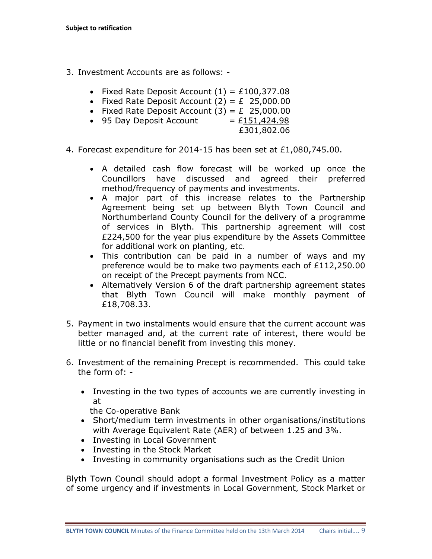- 3. Investment Accounts are as follows:
	- Fixed Rate Deposit Account  $(1) = £100,377.08$
	- Fixed Rate Deposit Account  $(2) = \text{\pounds} \quad 25,000.00$
	- Fixed Rate Deposit Account  $(3) = E$  25,000.00
	- 95 Day Deposit Account  $= £151,424.98$ 
		- £301,802.06
- 4. Forecast expenditure for 2014-15 has been set at £1,080,745.00.
	- · A detailed cash flow forecast will be worked up once the Councillors have discussed and agreed their preferred method/frequency of payments and investments.
	- · A major part of this increase relates to the Partnership Agreement being set up between Blyth Town Council and Northumberland County Council for the delivery of a programme of services in Blyth. This partnership agreement will cost £224,500 for the year plus expenditure by the Assets Committee for additional work on planting, etc.
	- · This contribution can be paid in a number of ways and my preference would be to make two payments each of £112,250.00 on receipt of the Precept payments from NCC.
	- · Alternatively Version 6 of the draft partnership agreement states that Blyth Town Council will make monthly payment of £18,708.33.
- 5. Payment in two instalments would ensure that the current account was better managed and, at the current rate of interest, there would be little or no financial benefit from investing this money.
- 6. Investment of the remaining Precept is recommended. This could take the form of: -
	- · Investing in the two types of accounts we are currently investing in at

the Co-operative Bank

- · Short/medium term investments in other organisations/institutions with Average Equivalent Rate (AER) of between 1.25 and 3%.
- · Investing in Local Government
- · Investing in the Stock Market
- · Investing in community organisations such as the Credit Union

Blyth Town Council should adopt a formal Investment Policy as a matter of some urgency and if investments in Local Government, Stock Market or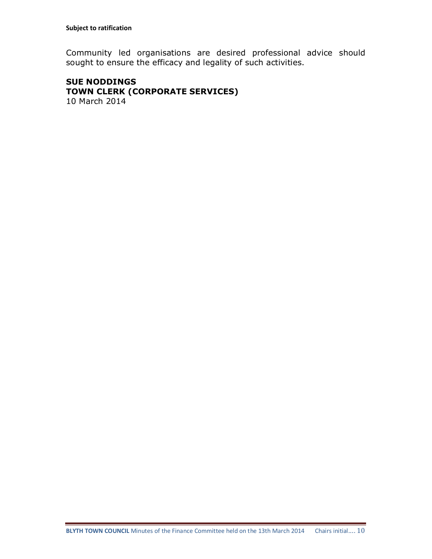Community led organisations are desired professional advice should sought to ensure the efficacy and legality of such activities.

#### **SUE NODDINGS TOWN CLERK (CORPORATE SERVICES)** 10 March 2014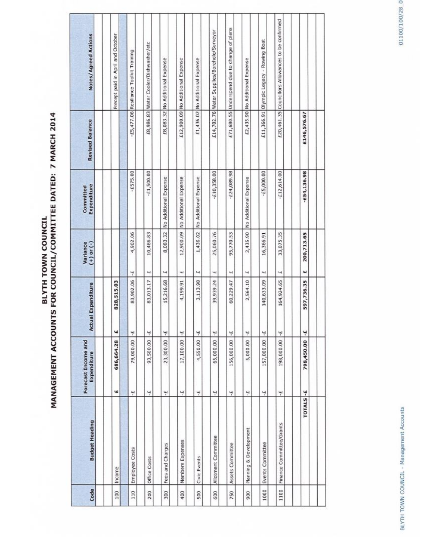# BLYTH TOWA COUNCIL DATED: 7 MARCH 2014

| Code | <b>Budget Heading</b>    | Forecast Income and<br>Expenditure | <b>Actual Expenditure</b> | $(+)$ or $(-)$<br>Variance           | Expenditure<br>Committed | <b>Revised Balance</b> | <b>Notes/Agreed Actions</b>                       |
|------|--------------------------|------------------------------------|---------------------------|--------------------------------------|--------------------------|------------------------|---------------------------------------------------|
|      |                          |                                    |                           |                                      |                          |                        |                                                   |
| 100  | Income                   | 686,664.28<br>щ                    | 828,515.03<br>щ           |                                      |                          |                        | Precept paid in April and October                 |
|      |                          |                                    |                           |                                      |                          |                        |                                                   |
| 110  | Employee Costs           | 79,000.00<br>4                     | 83,902.06<br>ų            | 4,902.06<br>٣                        | $-£575.00$               |                        | -£5,477.06 Resiliance Toolkit Training            |
| 200  | Office Costs             | 93,500.00<br>۳                     | 83,013.17<br>۳            | 10,486.83<br>ω                       | $-£1,500.00$             |                        | £8,986.83 Water Cooler/Dishwasher/etc             |
| 300  | Fees and Charges         | 23,300.00<br>۳                     | 15,216.68<br>¥            | 8,083.32<br>$\overline{\phantom{a}}$ | No Additional Expense    |                        | £8,083.32 No Additional Expense                   |
| 400  | Members Expenses         | 17,100.00<br>نېد                   | 4,199.91<br>¥             | 12,900.09<br>ш                       | No Additional Expense    |                        | £12,900.09 No Additional Expense                  |
| 500  | Civic Events             | 4,550.00<br>پ                      | 3,113.98<br>Ÿ             | 1,436.02<br>$\overline{\phantom{a}}$ | No Additional Expense    |                        | £1,436.02 No Additional Expense                   |
| 600  | Allotment Committee      | 65,000.00<br>ىپا                   | 39,939.24<br>÷.           | 25,060.76<br>щ                       | $-£10,358.00$            |                        | £14,702.76 Water Supplies/Borehole/Surveyor       |
| 750  | Assets Committee         | 156,000.00<br>Ψ                    | 60,229.47<br>¥            | 95,770.53<br>$\ddot{}$               | £24,089.98               |                        | £71,680.55 Underspend due to change of plans      |
| 900  | Planning & Development   | 5,000.00<br>Ψ                      | 2,564.10<br>۳             | 2,435.90<br>ω                        | No Additional Expense    |                        | £2,435.90 No Additional Expense                   |
| 1000 | Events Committee         | 157,000.00<br>۳                    | 140,633.09<br>÷           | 16,366.91<br>Щ                       | $-£5,000.00$             |                        | E11,366.91 Olympic Legacy - Rowing Boat           |
| 1100 | Finance Committee/Grants | 198,000.00<br>٣                    | 164,924.65<br>¥           | 33,075.35<br>ш                       | $-£12,614.00$            |                        | £20,461.35 Councillors Allowances to be confirmed |
|      |                          |                                    |                           |                                      |                          |                        |                                                   |
|      | <b>TOTALS</b>            | 798,450.00<br>۴                    | 597,736.35<br>¥           | 200,713.65<br>щ                      | $-654, 136.98$           | £146,576.67            |                                                   |
|      |                          |                                    |                           |                                      |                          |                        |                                                   |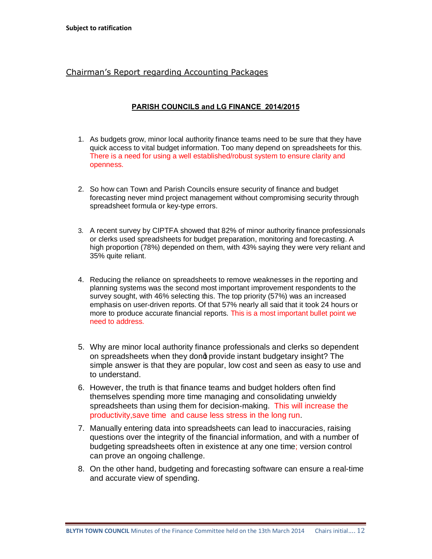#### Chairman's Report regarding Accounting Packages

#### **PARISH COUNCILS and LG FINANCE 2014/2015**

- 1. As budgets grow, minor local authority finance teams need to be sure that they have quick access to vital budget information. Too many depend on spreadsheets for this. There is a need for using a well established/robust system to ensure clarity and openness.
- 2. So how can Town and Parish Councils ensure security of finance and budget forecasting never mind project management without compromising security through spreadsheet formula or key-type errors.
- 3. A recent survey by CIPTFA showed that 82% of minor authority finance professionals or clerks used spreadsheets for budget preparation, monitoring and forecasting. A high proportion (78%) depended on them, with 43% saying they were very reliant and 35% quite reliant.
- 4. Reducing the reliance on spreadsheets to remove weaknesses in the reporting and planning systems was the second most important improvement respondents to the survey sought, with 46% selecting this. The top priority (57%) was an increased emphasis on user-driven reports. Of that 57% nearly all said that it took 24 hours or more to produce accurate financial reports. This is a most important bullet point we need to address.
- 5. Why are minor local authority finance professionals and clerks so dependent on spreadsheets when they dond provide instant budgetary insight? The simple answer is that they are popular, low cost and seen as easy to use and to understand.
- 6. However, the truth is that finance teams and budget holders often find themselves spending more time managing and consolidating unwieldy spreadsheets than using them for decision-making. This will increase the productivity,save time and cause less stress in the long run.
- 7. Manually entering data into spreadsheets can lead to inaccuracies, raising questions over the integrity of the financial information, and with a number of budgeting spreadsheets often in existence at any one time; version control can prove an ongoing challenge.
- 8. On the other hand, budgeting and forecasting software can ensure a real-time and accurate view of spending.